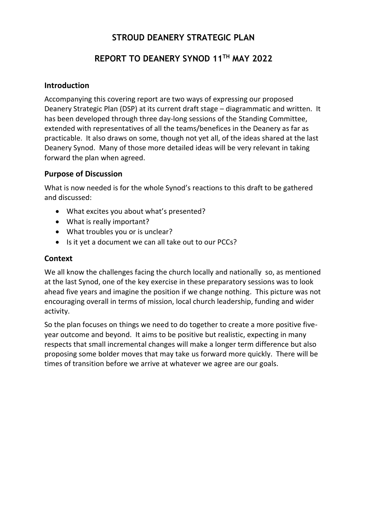# **STROUD DEANERY STRATEGIC PLAN**

# **REPORT TO DEANERY SYNOD 11TH MAY 2022**

## **Introduction**

Accompanying this covering report are two ways of expressing our proposed Deanery Strategic Plan (DSP) at its current draft stage – diagrammatic and written. It has been developed through three day-long sessions of the Standing Committee, extended with representatives of all the teams/benefices in the Deanery as far as practicable. It also draws on some, though not yet all, of the ideas shared at the last Deanery Synod. Many of those more detailed ideas will be very relevant in taking forward the plan when agreed.

### **Purpose of Discussion**

What is now needed is for the whole Synod's reactions to this draft to be gathered and discussed:

- What excites you about what's presented?
- What is really important?
- What troubles you or is unclear?
- Is it yet a document we can all take out to our PCCs?

## **Context**

We all know the challenges facing the church locally and nationally so, as mentioned at the last Synod, one of the key exercise in these preparatory sessions was to look ahead five years and imagine the position if we change nothing. This picture was not encouraging overall in terms of mission, local church leadership, funding and wider activity.

So the plan focuses on things we need to do together to create a more positive fiveyear outcome and beyond. It aims to be positive but realistic, expecting in many respects that small incremental changes will make a longer term difference but also proposing some bolder moves that may take us forward more quickly. There will be times of transition before we arrive at whatever we agree are our goals.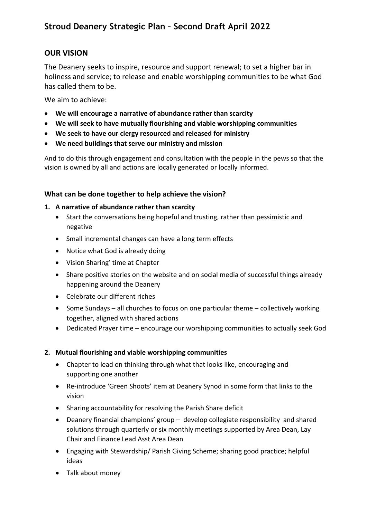# **OUR VISION**

The Deanery seeks to inspire, resource and support renewal; to set a higher bar in holiness and service; to release and enable worshipping communities to be what God has called them to be.

We aim to achieve:

- **We will encourage a narrative of abundance rather than scarcity**
- **We will seek to have mutually flourishing and viable worshipping communities**
- **We seek to have our clergy resourced and released for ministry**
- **We need buildings that serve our ministry and mission**

And to do this through engagement and consultation with the people in the pews so that the vision is owned by all and actions are locally generated or locally informed.

#### **What can be done together to help achieve the vision?**

#### **1. A narrative of abundance rather than scarcity**

- Start the conversations being hopeful and trusting, rather than pessimistic and negative
- Small incremental changes can have a long term effects
- Notice what God is already doing
- Vision Sharing' time at Chapter
- Share positive stories on the website and on social media of successful things already happening around the Deanery
- Celebrate our different riches
- Some Sundays all churches to focus on one particular theme collectively working together, aligned with shared actions
- Dedicated Prayer time encourage our worshipping communities to actually seek God

#### **2. Mutual flourishing and viable worshipping communities**

- Chapter to lead on thinking through what that looks like, encouraging and supporting one another
- Re-introduce 'Green Shoots' item at Deanery Synod in some form that links to the vision
- Sharing accountability for resolving the Parish Share deficit
- Deanery financial champions' group develop collegiate responsibility and shared solutions through quarterly or six monthly meetings supported by Area Dean, Lay Chair and Finance Lead Asst Area Dean
- Engaging with Stewardship/ Parish Giving Scheme; sharing good practice; helpful ideas
- Talk about money